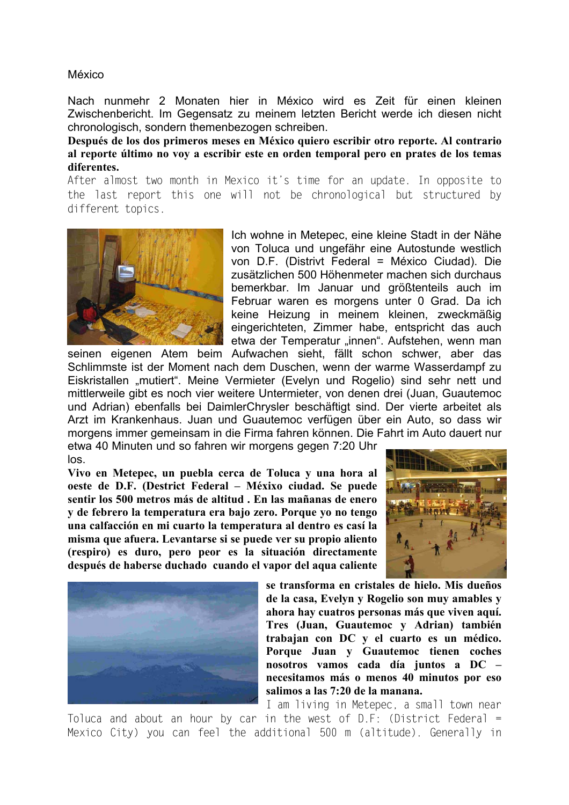México

Nach nunmehr 2 Monaten hier in México wird es Zeit für einen kleinen Zwischenbericht. Im Gegensatz zu meinem letzten Bericht werde ich diesen nicht chronologisch, sondern themenbezogen schreiben.

**Después de los dos primeros meses en México quiero escribir otro reporte. Al contrario al reporte último no voy a escribir este en orden temporal pero en prates de los temas diferentes.** 

After almost two month in Mexico it's time for an update. In opposite to the last report this one will not be chronological but structured by different topics.



Ich wohne in Metepec, eine kleine Stadt in der Nähe von Toluca und ungefähr eine Autostunde westlich von D.F. (Distrivt Federal = México Ciudad). Die zusätzlichen 500 Höhenmeter machen sich durchaus bemerkbar. Im Januar und größtenteils auch im Februar waren es morgens unter 0 Grad. Da ich keine Heizung in meinem kleinen, zweckmäßig eingerichteten, Zimmer habe, entspricht das auch etwa der Temperatur "innen". Aufstehen, wenn man

seinen eigenen Atem beim Aufwachen sieht, fällt schon schwer, aber das Schlimmste ist der Moment nach dem Duschen, wenn der warme Wasserdampf zu Eiskristallen "mutiert". Meine Vermieter (Evelyn und Rogelio) sind sehr nett und mittlerweile gibt es noch vier weitere Untermieter, von denen drei (Juan, Guautemoc und Adrian) ebenfalls bei DaimlerChrysler beschäftigt sind. Der vierte arbeitet als Arzt im Krankenhaus. Juan und Guautemoc verfügen über ein Auto, so dass wir morgens immer gemeinsam in die Firma fahren können. Die Fahrt im Auto dauert nur etwa 40 Minuten und so fahren wir morgens gegen 7:20 Uhr los.

**Vivo en Metepec, un puebla cerca de Toluca y una hora al oeste de D.F. (Destrict Federal – Méxixo ciudad. Se puede sentir los 500 metros más de altitud . En las mañanas de enero y de febrero la temperatura era bajo zero. Porque yo no tengo una calfacción en mi cuarto la temperatura al dentro es casí la misma que afuera. Levantarse si se puede ver su propio aliento (respiro) es duro, pero peor es la situación directamente después de haberse duchado cuando el vapor del aqua caliente** 





**se transforma en cristales de hielo. Mis dueños de la casa, Evelyn y Rogelio son muy amables y ahora hay cuatros personas más que viven aquí. Tres (Juan, Guautemoc y Adrian) también trabajan con DC y el cuarto es un médico. Porque Juan y Guautemoc tienen coches nosotros vamos cada día juntos a DC – necesitamos más o menos 40 minutos por eso salimos a las 7:20 de la manana.** 

I am living in Metepec, a small town near Toluca and about an hour by car in the west of D.F: (District Federal = Mexico City) you can feel the additional 500 m (altitude). Generally in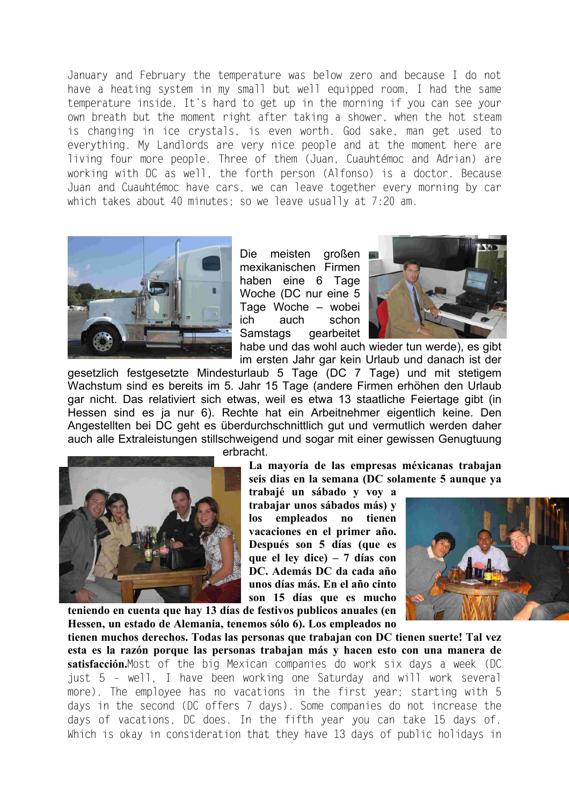January and February the temperature was below zero and because I do not have a heating system in my small but well equipped room, I had the same temperature inside. It's hard to get up in the morning if you can see your own breath but the moment right after taking a shower, when the hot steam is changing in ice crystals, is even worth. God sake, man get used to everything. My Landlords are very nice people and at the moment here are living four more people. Three of them (Juan, Cuauhtémoc and Adrian) are working with DC as well, the forth person (Alfonso) is a doctor. Because Juan and Cuauhtémoc have cars, we can leave together every morning by car which takes about 40 minutes; so we leave usually at 7:20 am.



Die meisten großen mexikanischen Firmen haben eine 6 Tage Woche (DC nur eine 5 Tage Woche – wobei ich auch schon Samstags gearbeitet



habe und das wohl auch wieder tun werde), es gibt im ersten Jahr gar kein Urlaub und danach ist der

gesetzlich festgesetzte Mindesturlaub 5 Tage (DC 7 Tage) und mit stetigem Wachstum sind es bereits im 5. Jahr 15 Tage (andere Firmen erhöhen den Urlaub gar nicht. Das relativiert sich etwas, weil es etwa 13 staatliche Feiertage gibt (in Hessen sind es ja nur 6). Rechte hat ein Arbeitnehmer eigentlich keine. Den Angestellten bei DC geht es überdurchschnittlich gut und vermutlich werden daher auch alle Extraleistungen stillschweigend und sogar mit einer gewissen Genugtuung



erbracht.

**La mayoría de las empresas méxicanas trabajan seis dias en la semana (DC solamente 5 aunque ya** 

**trabajé un sábado y voy a trabajar unos sábados más) y los empleados no tienen vacaciones en el primer año. Después son 5 días (que es que el ley dice) – 7 días con DC. Además DC da cada año unos días más. En el año cinto son 15 días que es mucho** 

**teniendo en cuenta que hay 13 días de festivos publicos anuales (en Hessen, un estado de Alemania, tenemos sólo 6). Los empleados no**



**tienen muchos derechos. Todas las personas que trabajan con DC tienen suerte! Tal vez esta es la razón porque las personas trabajan más y hacen esto con una manera de satisfacción.**Most of the big Mexican companies do work six days a week (DC just 5 – well, I have been working one Saturday and will work several more). The employee has no vacations in the first year; starting with 5 days in the second (DC offers 7 days). Some companies do not increase the days of vacations, DC does. In the fifth year you can take 15 days of. Which is okay in consideration that they have 13 days of public holidays in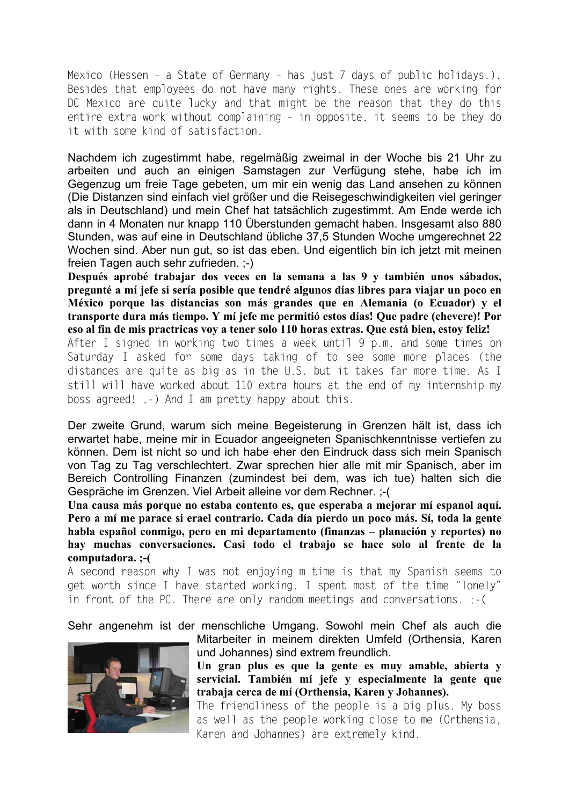Mexico (Hessen – a State of Germany – has just 7 days of public holidays.). Besides that employees do not have many rights. These ones are working for DC Mexico are quite lucky and that might be the reason that they do this entire extra work without complaining – in opposite, it seems to be they do it with some kind of satisfaction.

Nachdem ich zugestimmt habe, regelmäßig zweimal in der Woche bis 21 Uhr zu arbeiten und auch an einigen Samstagen zur Verfügung stehe, habe ich im Gegenzug um freie Tage gebeten, um mir ein wenig das Land ansehen zu können (Die Distanzen sind einfach viel größer und die Reisegeschwindigkeiten viel geringer als in Deutschland) und mein Chef hat tatsächlich zugestimmt. Am Ende werde ich dann in 4 Monaten nur knapp 110 Überstunden gemacht haben. Insgesamt also 880 Stunden, was auf eine in Deutschland übliche 37,5 Stunden Woche umgerechnet 22 Wochen sind. Aber nun gut, so ist das eben. Und eigentlich bin ich jetzt mit meinen freien Tagen auch sehr zufrieden. ;-)

**Después aprobé trabajar dos veces en la semana a las 9 y también unos sábados, pregunté a mí jefe si sería posible que tendré algunos días libres para viajar un poco en México porque las distancias son más grandes que en Alemania (o Ecuador) y el transporte dura más tiempo. Y mí jefe me permitió estos días! Que padre (chevere)! Por eso al fin de mis practricas voy a tener solo 110 horas extras. Que está bien, estoy feliz!** 

After I signed in working two times a week until 9 p.m. and some times on Saturday I asked for some days taking of to see some more places (the distances are quite as big as in the U.S. but it takes far more time. As I still will have worked about 110 extra hours at the end of my internship my boss agreed! ,-) And I am pretty happy about this.

Der zweite Grund, warum sich meine Begeisterung in Grenzen hält ist, dass ich erwartet habe, meine mir in Ecuador angeeigneten Spanischkenntnisse vertiefen zu können. Dem ist nicht so und ich habe eher den Eindruck dass sich mein Spanisch von Tag zu Tag verschlechtert. Zwar sprechen hier alle mit mir Spanisch, aber im Bereich Controlling Finanzen (zumindest bei dem, was ich tue) halten sich die Gespräche im Grenzen. Viel Arbeit alleine vor dem Rechner. ;-(

**Una causa más porque no estaba contento es, que esperaba a mejorar mí espanol aquí. Pero a mí me parace si erael contrario. Cada día pierdo un poco más. Sí, toda la gente habla español conmigo, pero en mi departamento (finanzas – planación y reportes) no hay muchas conversaciones. Casi todo el trabajo se hace solo al frente de la computadora. ;-(** 

A second reason why I was not enjoying m time is that my Spanish seems to get worth since I have started working. I spent most of the time "lonely" in front of the PC. There are only random meetings and conversations. ;-(

Sehr angenehm ist der menschliche Umgang. Sowohl mein Chef als auch die



Mitarbeiter in meinem direkten Umfeld (Orthensia, Karen und Johannes) sind extrem freundlich.

**Un gran plus es que la gente es muy amable, abierta y servicial. También mí jefe y especialmente la gente que trabaja cerca de mí (Orthensia, Karen y Johannes).** 

The friendliness of the people is a big plus. My boss as well as the people working close to me (Orthensia, Karen and Johannes) are extremely kind.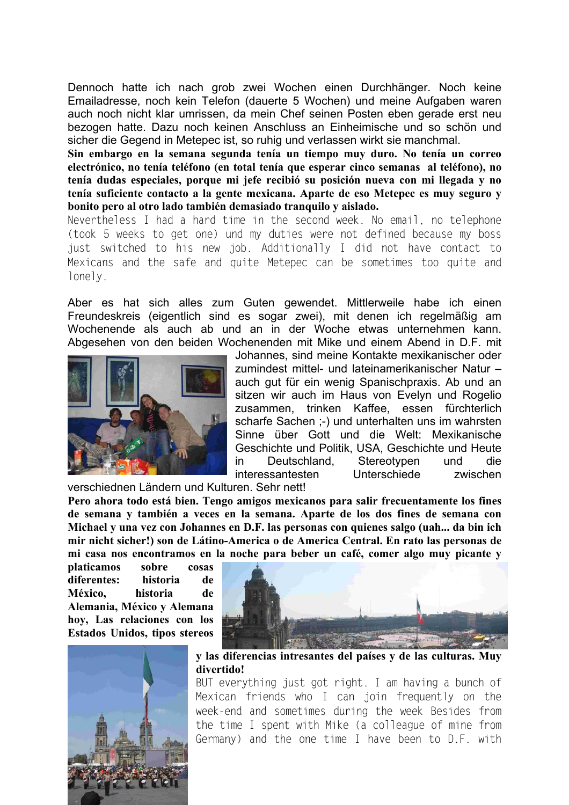Dennoch hatte ich nach grob zwei Wochen einen Durchhänger. Noch keine Emailadresse, noch kein Telefon (dauerte 5 Wochen) und meine Aufgaben waren auch noch nicht klar umrissen, da mein Chef seinen Posten eben gerade erst neu bezogen hatte. Dazu noch keinen Anschluss an Einheimische und so schön und sicher die Gegend in Metepec ist, so ruhig und verlassen wirkt sie manchmal.

**Sin embargo en la semana segunda tenía un tiempo muy duro. No tenía un correo electrónico, no tenía teléfono (en total tenía que esperar cinco semanas al teléfono), no tenía dudas especiales, porque mi jefe recibió su posición nueva con mi llegada y no tenía suficiente contacto a la gente mexicana. Aparte de eso Metepec es muy seguro y bonito pero al otro lado también demasiado tranquilo y aislado.** 

Nevertheless I had a hard time in the second week. No email, no telephone (took 5 weeks to get one) und my duties were not defined because my boss just switched to his new job. Additionally I did not have contact to Mexicans and the safe and quite Metepec can be sometimes too quite and lonely.

Aber es hat sich alles zum Guten gewendet. Mittlerweile habe ich einen Freundeskreis (eigentlich sind es sogar zwei), mit denen ich regelmäßig am Wochenende als auch ab und an in der Woche etwas unternehmen kann. Abgesehen von den beiden Wochenenden mit Mike und einem Abend in D.F. mit



Johannes, sind meine Kontakte mexikanischer oder zumindest mittel- und lateinamerikanischer Natur – auch gut für ein wenig Spanischpraxis. Ab und an sitzen wir auch im Haus von Evelyn und Rogelio zusammen, trinken Kaffee, essen fürchterlich scharfe Sachen ;-) und unterhalten uns im wahrsten Sinne über Gott und die Welt: Mexikanische Geschichte und Politik, USA, Geschichte und Heute in Deutschland, Stereotypen und die interessantesten Unterschiede zwischen

verschiednen Ländern und Kulturen. Sehr nett!

**Pero ahora todo está bien. Tengo amigos mexicanos para salir frecuentamente los fines de semana y también a veces en la semana. Aparte de los dos fines de semana con Michael y una vez con Johannes en D.F. las personas con quienes salgo (uah... da bin ich mir nicht sicher!) son de Látino-America o de America Central. En rato las personas de mi casa nos encontramos en la noche para beber un café, comer algo muy picante y** 

**platicamos sobre cosas diferentes: historia de México, historia de Alemania, México y Alemana hoy, Las relaciones con los Estados Unidos, tipos stereos**





**y las diferencias intresantes del países y de las culturas. Muy divertido!** 

BUT everything just got right. I am having a bunch of Mexican friends who I can join frequently on the week-end and sometimes during the week Besides from the time I spent with Mike (a colleague of mine from Germany) and the one time I have been to D.F. with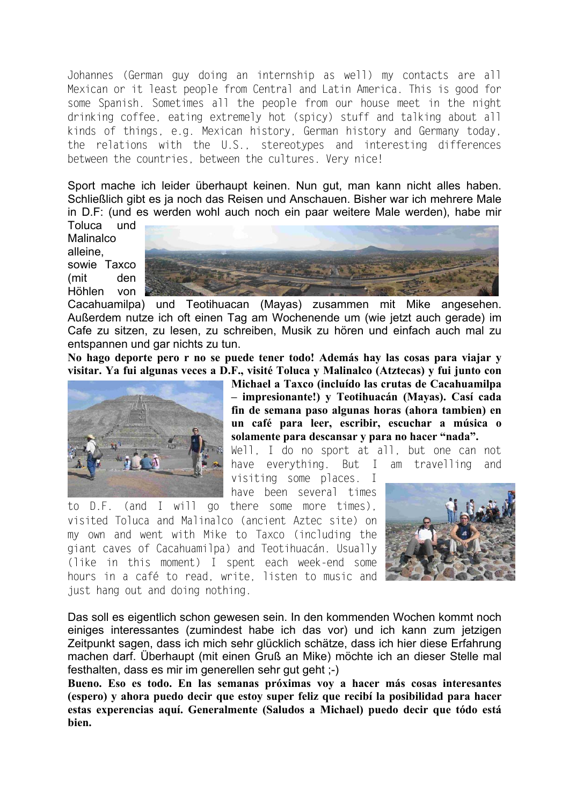Johannes (German guy doing an internship as well) my contacts are all Mexican or it least people from Central and Latin America. This is good for some Spanish. Sometimes all the people from our house meet in the night drinking coffee, eating extremely hot (spicy) stuff and talking about all kinds of things, e.g. Mexican history, German history and Germany today, the relations with the U.S., stereotypes and interesting differences between the countries, between the cultures. Very nice!

Sport mache ich leider überhaupt keinen. Nun gut, man kann nicht alles haben. Schließlich gibt es ja noch das Reisen und Anschauen. Bisher war ich mehrere Male in D.F: (und es werden wohl auch noch ein paar weitere Male werden), habe mir

Toluca und **Malinalco** alleine, sowie Taxco (mit den Höhlen von



Cacahuamilpa) und Teotihuacan (Mayas) zusammen mit Mike angesehen. Außerdem nutze ich oft einen Tag am Wochenende um (wie jetzt auch gerade) im Cafe zu sitzen, zu lesen, zu schreiben, Musik zu hören und einfach auch mal zu entspannen und gar nichts zu tun.

**No hago deporte pero r no se puede tener todo! Además hay las cosas para viajar y visitar. Ya fui algunas veces a D.F., visité Toluca y Malinalco (Atztecas) y fui junto con** 



**Michael a Taxco (incluído las crutas de Cacahuamilpa – impresionante!) y Teotihuacán (Mayas). Casí cada fin de semana paso algunas horas (ahora tambien) en un café para leer, escribir, escuchar a música o solamente para descansar y para no hacer "nada".** 

Well, I do no sport at all, but one can not have everything. But I am travelling and

visiting some places. I have been several times

to D.F. (and I will go there some more times), visited Toluca and Malinalco (ancient Aztec site) on my own and went with Mike to Taxco (including the giant caves of Cacahuamilpa) and Teotihuacán. Usually (like in this moment) I spent each week-end some hours in a café to read, write, listen to music and just hang out and doing nothing.



Das soll es eigentlich schon gewesen sein. In den kommenden Wochen kommt noch einiges interessantes (zumindest habe ich das vor) und ich kann zum jetzigen Zeitpunkt sagen, dass ich mich sehr glücklich schätze, dass ich hier diese Erfahrung machen darf. Überhaupt (mit einen Gruß an Mike) möchte ich an dieser Stelle mal festhalten, dass es mir im generellen sehr gut geht ;-)

**Bueno. Eso es todo. En las semanas próximas voy a hacer más cosas interesantes (espero) y ahora puedo decir que estoy super feliz que recibí la posibilidad para hacer estas experencias aquí. Generalmente (Saludos a Michael) puedo decir que tódo está bien.**